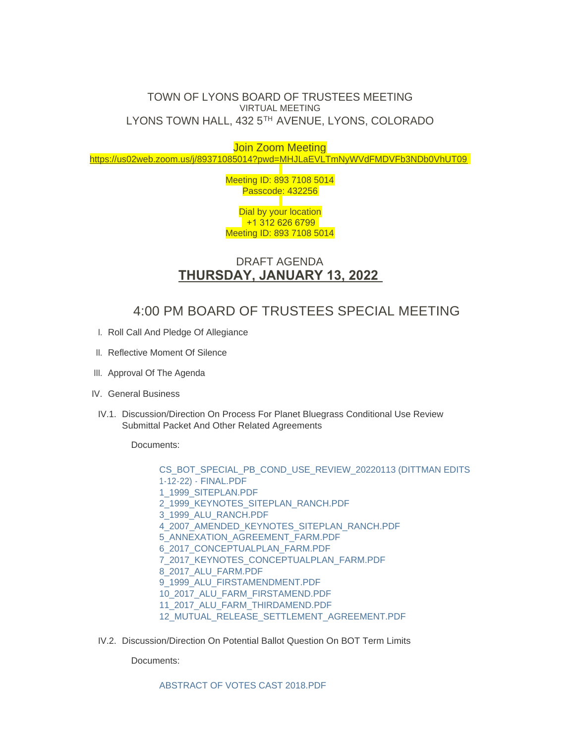## TOWN OF LYONS BOARD OF TRUSTEES MEETING VIRTUAL MEETING LYONS TOWN HALL, 432 5TH AVENUE, LYONS, COLORADO

Join Zoom Meeting <https://us02web.zoom.us/j/89371085014?pwd=MHJLaEVLTmNyWVdFMDVFb3NDb0VhUT09>

> Meeting ID: 893 7108 5014 Passcode: 432256 Dial by your location +1 312 626 6799 Meeting ID: 893 7108 5014

## DRAFT AGENDA **THURSDAY, JANUARY 13, 2022**

## 4:00 PM BOARD OF TRUSTEES SPECIAL MEETING

- I. Roll Call And Pledge Of Allegiance
- II. Reflective Moment Of Silence
- III. Approval Of The Agenda
- IV. General Business
- IV.1. Discussion/Direction On Process For Planet Bluegrass Conditional Use Review Submittal Packet And Other Related Agreements

Documents:

[CS\\_BOT\\_SPECIAL\\_PB\\_COND\\_USE\\_REVIEW\\_20220113 \(DITTMAN EDITS](https://www.townoflyons.com/AgendaCenter/ViewFile/Item/9691?fileID=19858)  1-12-22) - FINAL.PDF [1\\_1999\\_SITEPLAN.PDF](https://www.townoflyons.com/AgendaCenter/ViewFile/Item/9691?fileID=19859) [2\\_1999\\_KEYNOTES\\_SITEPLAN\\_RANCH.PDF](https://www.townoflyons.com/AgendaCenter/ViewFile/Item/9691?fileID=19860) [3\\_1999\\_ALU\\_RANCH.PDF](https://www.townoflyons.com/AgendaCenter/ViewFile/Item/9691?fileID=19861) [4\\_2007\\_AMENDED\\_KEYNOTES\\_SITEPLAN\\_RANCH.PDF](https://www.townoflyons.com/AgendaCenter/ViewFile/Item/9691?fileID=19849) [5\\_ANNEXATION\\_AGREEMENT\\_FARM.PDF](https://www.townoflyons.com/AgendaCenter/ViewFile/Item/9691?fileID=19850) [6\\_2017\\_CONCEPTUALPLAN\\_FARM.PDF](https://www.townoflyons.com/AgendaCenter/ViewFile/Item/9691?fileID=19851) [7\\_2017\\_KEYNOTES\\_CONCEPTUALPLAN\\_FARM.PDF](https://www.townoflyons.com/AgendaCenter/ViewFile/Item/9691?fileID=19852) [8\\_2017\\_ALU\\_FARM.PDF](https://www.townoflyons.com/AgendaCenter/ViewFile/Item/9691?fileID=19853) [9\\_1999\\_ALU\\_FIRSTAMENDMENT.PDF](https://www.townoflyons.com/AgendaCenter/ViewFile/Item/9691?fileID=19854) [10\\_2017\\_ALU\\_FARM\\_FIRSTAMEND.PDF](https://www.townoflyons.com/AgendaCenter/ViewFile/Item/9691?fileID=19855) [11\\_2017\\_ALU\\_FARM\\_THIRDAMEND.PDF](https://www.townoflyons.com/AgendaCenter/ViewFile/Item/9691?fileID=19856) [12\\_MUTUAL\\_RELEASE\\_SETTLEMENT\\_AGREEMENT.PDF](https://www.townoflyons.com/AgendaCenter/ViewFile/Item/9691?fileID=19857)

IV.2. Discussion/Direction On Potential Ballot Question On BOT Term Limits

Documents:

[ABSTRACT OF VOTES CAST 2018.PDF](https://www.townoflyons.com/AgendaCenter/ViewFile/Item/9692?fileID=19862)